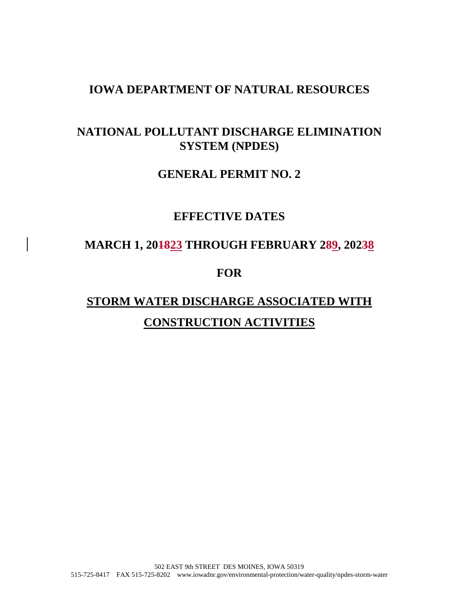# **IOWA DEPARTMENT OF NATURAL RESOURCES**

# **NATIONAL POLLUTANT DISCHARGE ELIMINATION SYSTEM (NPDES)**

# **GENERAL PERMIT NO. 2**

# **EFFECTIVE DATES**

# **MARCH 1, 201823 THROUGH FEBRUARY 289, 20238**

# **FOR**

# **STORM WATER DISCHARGE ASSOCIATED WITH CONSTRUCTION ACTIVITIES**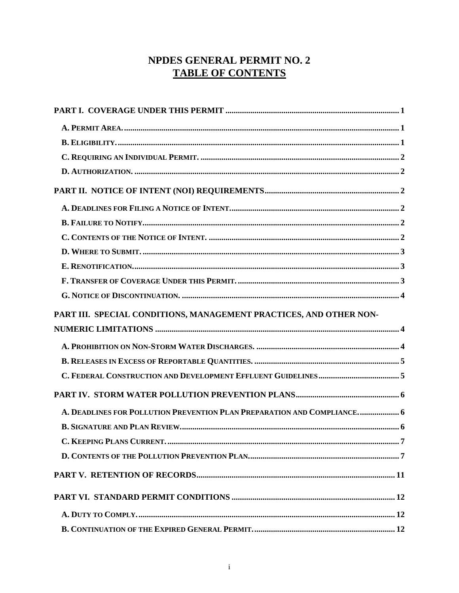# NPDES GENERAL PERMIT NO. 2 **TABLE OF CONTENTS**

| PART III. SPECIAL CONDITIONS, MANAGEMENT PRACTICES, AND OTHER NON-      |
|-------------------------------------------------------------------------|
|                                                                         |
|                                                                         |
|                                                                         |
|                                                                         |
|                                                                         |
| A. DEADLINES FOR POLLUTION PREVENTION PLAN PREPARATION AND COMPLIANCE 6 |
|                                                                         |
|                                                                         |
|                                                                         |
|                                                                         |
|                                                                         |
|                                                                         |
|                                                                         |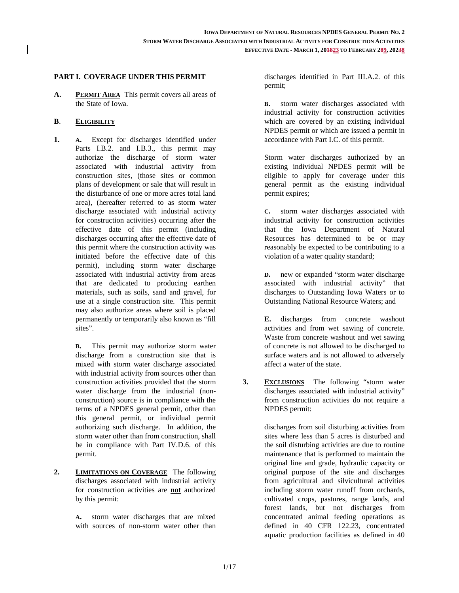#### **PART I. COVERAGE UNDER THIS PERMIT**

**A. PERMIT AREA** This permit covers all areas of the State of Iowa.

#### **B**. **ELIGIBILITY**

**1. A.** Except for discharges identified under Parts I.B.2. and I.B.3., this permit may authorize the discharge of storm water associated with industrial activity from construction sites, (those sites or common plans of development or sale that will result in the disturbance of one or more acres total land area), (hereafter referred to as storm water discharge associated with industrial activity for construction activities) occurring after the effective date of this permit (including discharges occurring after the effective date of this permit where the construction activity was initiated before the effective date of this permit), including storm water discharge associated with industrial activity from areas that are dedicated to producing earthen materials, such as soils, sand and gravel, for use at a single construction site. This permit may also authorize areas where soil is placed permanently or temporarily also known as "fill sites".

> **B.** This permit may authorize storm water discharge from a construction site that is mixed with storm water discharge associated with industrial activity from sources other than construction activities provided that the storm water discharge from the industrial (nonconstruction) source is in compliance with the terms of a NPDES general permit, other than this general permit, or individual permit authorizing such discharge. In addition, the storm water other than from construction, shall be in compliance with Part IV.D.6. of this permit.

**2. LIMITATIONS ON COVERAGE** The following discharges associated with industrial activity for construction activities are **not** authorized by this permit:

> **A.** storm water discharges that are mixed with sources of non-storm water other than

discharges identified in Part III.A.2. of this permit;

**B.** storm water discharges associated with industrial activity for construction activities which are covered by an existing individual NPDES permit or which are issued a permit in accordance with Part I.C. of this permit.

Storm water discharges authorized by an existing individual NPDES permit will be eligible to apply for coverage under this general permit as the existing individual permit expires;

**C.** storm water discharges associated with industrial activity for construction activities that the Iowa Department of Natural Resources has determined to be or may reasonably be expected to be contributing to a violation of a water quality standard;

**D.** new or expanded "storm water discharge associated with industrial activity" that discharges to Outstanding Iowa Waters or to Outstanding National Resource Waters; and

**E.** discharges from concrete washout activities and from wet sawing of concrete. Waste from concrete washout and wet sawing of concrete is not allowed to be discharged to surface waters and is not allowed to adversely affect a water of the state.

**3. EXCLUSIONS** The following "storm water discharges associated with industrial activity" from construction activities do not require a NPDES permit:

> discharges from soil disturbing activities from sites where less than 5 acres is disturbed and the soil disturbing activities are due to routine maintenance that is performed to maintain the original line and grade, hydraulic capacity or original purpose of the site and discharges from agricultural and silvicultural activities including storm water runoff from orchards, cultivated crops, pastures, range lands, and forest lands, but not discharges from concentrated animal feeding operations as defined in 40 CFR 122.23, concentrated aquatic production facilities as defined in 40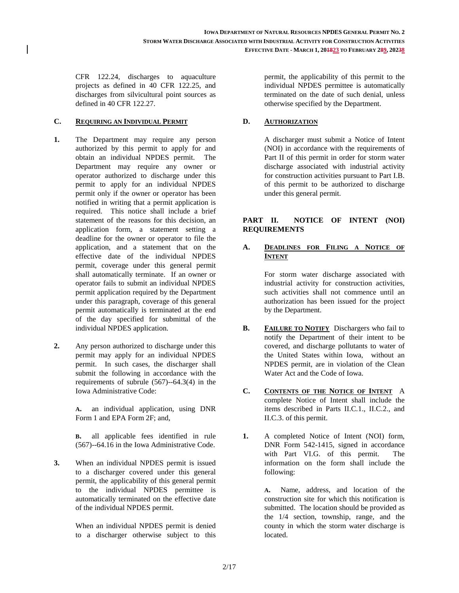CFR 122.24, discharges to aquaculture projects as defined in 40 CFR 122.25, and discharges from silvicultural point sources as defined in 40 CFR 122.27.

#### **C. REQUIRING AN INDIVIDUAL PERMIT**

- **1.** The Department may require any person authorized by this permit to apply for and obtain an individual NPDES permit. The Department may require any owner or operator authorized to discharge under this permit to apply for an individual NPDES permit only if the owner or operator has been notified in writing that a permit application is required. This notice shall include a brief statement of the reasons for this decision, an application form, a statement setting a deadline for the owner or operator to file the application, and a statement that on the effective date of the individual NPDES permit, coverage under this general permit shall automatically terminate. If an owner or operator fails to submit an individual NPDES permit application required by the Department under this paragraph, coverage of this general permit automatically is terminated at the end of the day specified for submittal of the individual NPDES application.
- **2.** Any person authorized to discharge under this permit may apply for an individual NPDES permit. In such cases, the discharger shall submit the following in accordance with the requirements of subrule (567)--64.3(4) in the Iowa Administrative Code:

**A.** an individual application, using DNR Form 1 and EPA Form 2F; and,

**B.** all applicable fees identified in rule (567)--64.16 in the Iowa Administrative Code.

**3.** When an individual NPDES permit is issued to a discharger covered under this general permit, the applicability of this general permit to the individual NPDES permittee is automatically terminated on the effective date of the individual NPDES permit.

> When an individual NPDES permit is denied to a discharger otherwise subject to this

permit, the applicability of this permit to the individual NPDES permittee is automatically terminated on the date of such denial, unless otherwise specified by the Department.

# **D. AUTHORIZATION**

A discharger must submit a Notice of Intent (NOI) in accordance with the requirements of Part II of this permit in order for storm water discharge associated with industrial activity for construction activities pursuant to Part I.B. of this permit to be authorized to discharge under this general permit.

# **PART II. NOTICE OF INTENT (NOI) REQUIREMENTS**

## **A. DEADLINES FOR FILING A NOTICE OF INTENT**

For storm water discharge associated with industrial activity for construction activities, such activities shall not commence until an authorization has been issued for the project by the Department.

- **B. FAILURE TO NOTIFY** Dischargers who fail to notify the Department of their intent to be covered, and discharge pollutants to water of the United States within Iowa, without an NPDES permit, are in violation of the Clean Water Act and the Code of Iowa.
- **C. CONTENTS OF THE NOTICE OF INTENT** A complete Notice of Intent shall include the items described in Parts II.C.1., II.C.2., and II.C.3. of this permit.
- **1.** A completed Notice of Intent (NOI) form, DNR Form 542-1415, signed in accordance with Part VI.G. of this permit. The information on the form shall include the following:

**A.** Name, address, and location of the construction site for which this notification is submitted. The location should be provided as the 1/4 section, township, range, and the county in which the storm water discharge is located.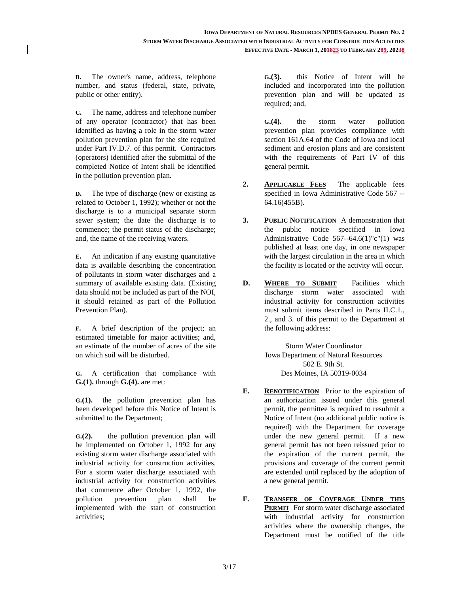**B.** The owner's name, address, telephone number, and status (federal, state, private, public or other entity).

**C.** The name, address and telephone number of any operator (contractor) that has been identified as having a role in the storm water pollution prevention plan for the site required under Part IV.D.7. of this permit. Contractors (operators) identified after the submittal of the completed Notice of Intent shall be identified in the pollution prevention plan.

**D.** The type of discharge (new or existing as related to October 1, 1992); whether or not the discharge is to a municipal separate storm sewer system; the date the discharge is to commence; the permit status of the discharge; and, the name of the receiving waters.

**E.** An indication if any existing quantitative data is available describing the concentration of pollutants in storm water discharges and a summary of available existing data. (Existing data should not be included as part of the NOI, it should retained as part of the Pollution Prevention Plan).

**F.** A brief description of the project; an estimated timetable for major activities; and, an estimate of the number of acres of the site on which soil will be disturbed.

**G.** A certification that compliance with **G.(1).** through **G.(4).** are met:

**G.(1).** the pollution prevention plan has been developed before this Notice of Intent is submitted to the Department;

**G.(2).** the pollution prevention plan will be implemented on October 1, 1992 for any existing storm water discharge associated with industrial activity for construction activities. For a storm water discharge associated with industrial activity for construction activities that commence after October 1, 1992, the pollution prevention plan shall be implemented with the start of construction activities;

**G.(3).** this Notice of Intent will be included and incorporated into the pollution prevention plan and will be updated as required; and,

**G.(4).** the storm water pollution prevention plan provides compliance with section 161A.64 of the Code of Iowa and local sediment and erosion plans and are consistent with the requirements of Part IV of this general permit.

- **2. APPLICABLE FEES** The applicable fees specified in Iowa Administrative Code 567 -- 64.16(455B).
- **3. PUBLIC NOTIFICATION** A demonstration that the public notice specified in Iowa Administrative Code  $567 - 64.6(1)$ "c"(1) was published at least one day, in one newspaper with the largest circulation in the area in which the facility is located or the activity will occur.
- **D. WHERE TO SUBMIT** Facilities which discharge storm water associated with industrial activity for construction activities must submit items described in Parts II.C.1., 2., and 3. of this permit to the Department at the following address:

Storm Water Coordinator Iowa Department of Natural Resources 502 E. 9th St. Des Moines, IA 50319-0034

- **E. RENOTIFICATION** Prior to the expiration of an authorization issued under this general permit, the permittee is required to resubmit a Notice of Intent (no additional public notice is required) with the Department for coverage under the new general permit. If a new general permit has not been reissued prior to the expiration of the current permit, the provisions and coverage of the current permit are extended until replaced by the adoption of a new general permit.
- **F. TRANSFER OF COVERAGE UNDER THIS PERMIT** For storm water discharge associated with industrial activity for construction activities where the ownership changes, the Department must be notified of the title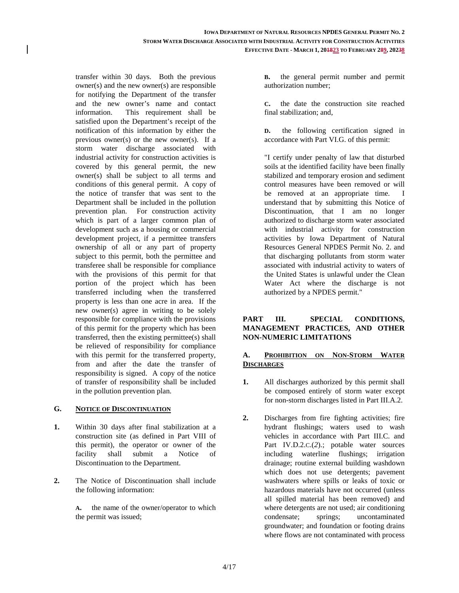transfer within 30 days. Both the previous owner(s) and the new owner(s) are responsible for notifying the Department of the transfer and the new owner's name and contact information. This requirement shall be satisfied upon the Department's receipt of the notification of this information by either the previous owner(s) or the new owner(s). If a storm water discharge associated with industrial activity for construction activities is covered by this general permit, the new owner(s) shall be subject to all terms and conditions of this general permit. A copy of the notice of transfer that was sent to the Department shall be included in the pollution prevention plan. For construction activity which is part of a larger common plan of development such as a housing or commercial development project, if a permittee transfers ownership of all or any part of property subject to this permit, both the permittee and transferee shall be responsible for compliance with the provisions of this permit for that portion of the project which has been transferred including when the transferred property is less than one acre in area. If the new owner(s) agree in writing to be solely responsible for compliance with the provisions of this permit for the property which has been transferred, then the existing permittee(s) shall be relieved of responsibility for compliance with this permit for the transferred property, from and after the date the transfer of responsibility is signed. A copy of the notice of transfer of responsibility shall be included in the pollution prevention plan.

#### **G. NOTICE OF DISCONTINUATION**

- **1.** Within 30 days after final stabilization at a construction site (as defined in Part VIII of this permit), the operator or owner of the facility shall submit a Notice of Discontinuation to the Department.
- **2.** The Notice of Discontinuation shall include the following information:

**A.** the name of the owner/operator to which the permit was issued;

**B.** the general permit number and permit authorization number;

**C.** the date the construction site reached final stabilization; and,

**D.** the following certification signed in accordance with Part VI.G. of this permit:

"I certify under penalty of law that disturbed soils at the identified facility have been finally stabilized and temporary erosion and sediment control measures have been removed or will be removed at an appropriate time. I understand that by submitting this Notice of Discontinuation, that I am no longer authorized to discharge storm water associated with industrial activity for construction activities by Iowa Department of Natural Resources General NPDES Permit No. 2. and that discharging pollutants from storm water associated with industrial activity to waters of the United States is unlawful under the Clean Water Act where the discharge is not authorized by a NPDES permit."

## **PART III. SPECIAL CONDITIONS, MANAGEMENT PRACTICES, AND OTHER NON-NUMERIC LIMITATIONS**

## **A. PROHIBITION ON NON-STORM WATER DISCHARGES**

- **1.** All discharges authorized by this permit shall be composed entirely of storm water except for non-storm discharges listed in Part III.A.2.
- **2.** Discharges from fire fighting activities; fire hydrant flushings; waters used to wash vehicles in accordance with Part III.C. and Part IV.D.2.C.(*2*).; potable water sources including waterline flushings; irrigation drainage; routine external building washdown which does not use detergents; pavement washwaters where spills or leaks of toxic or hazardous materials have not occurred (unless all spilled material has been removed) and where detergents are not used; air conditioning condensate; springs; uncontaminated groundwater; and foundation or footing drains where flows are not contaminated with process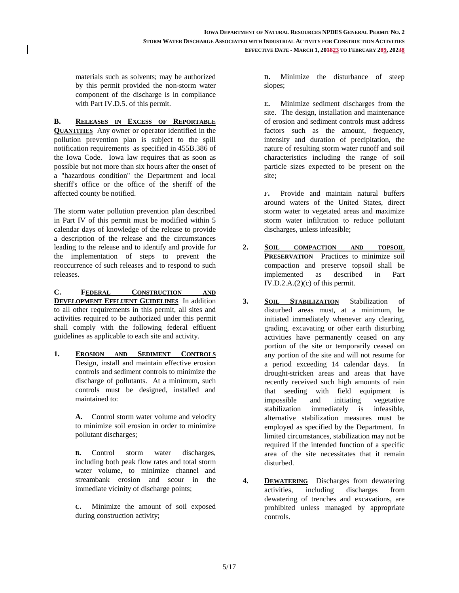materials such as solvents; may be authorized by this permit provided the non-storm water component of the discharge is in compliance with Part IV.D.5. of this permit.

# **B. RELEASES IN EXCESS OF REPORTABLE**

**QUANTITIES** Any owner or operator identified in the pollution prevention plan is subject to the spill notification requirements as specified in 455B.386 of the Iowa Code. Iowa law requires that as soon as possible but not more than six hours after the onset of a "hazardous condition" the Department and local sheriff's office or the office of the sheriff of the affected county be notified.

The storm water pollution prevention plan described in Part IV of this permit must be modified within 5 calendar days of knowledge of the release to provide a description of the release and the circumstances leading to the release and to identify and provide for the implementation of steps to prevent the reoccurrence of such releases and to respond to such releases.

**C. FEDERAL CONSTRUCTION AND DEVELOPMENT EFFLUENT GUIDELINES** In addition to all other requirements in this permit, all sites and activities required to be authorized under this permit shall comply with the following federal effluent guidelines as applicable to each site and activity.

**1. EROSION AND SEDIMENT CONTROLS**  Design, install and maintain effective erosion controls and sediment controls to minimize the discharge of pollutants. At a minimum, such controls must be designed, installed and maintained to:

> **A.** Control storm water volume and velocity to minimize soil erosion in order to minimize pollutant discharges;

**B.** Control storm water discharges, including both peak flow rates and total storm water volume, to minimize channel and streambank erosion and scour in the immediate vicinity of discharge points;

**C.** Minimize the amount of soil exposed during construction activity;

**D.** Minimize the disturbance of steep slopes;

**E.** Minimize sediment discharges from the site. The design, installation and maintenance of erosion and sediment controls must address factors such as the amount, frequency, intensity and duration of precipitation, the nature of resulting storm water runoff and soil characteristics including the range of soil particle sizes expected to be present on the site;

**F.** Provide and maintain natural buffers around waters of the United States, direct storm water to vegetated areas and maximize storm water infiltration to reduce pollutant discharges, unless infeasible;

- **2. SOIL COMPACTION AND TOPSOIL PRESERVATION** Practices to minimize soil compaction and preserve topsoil shall be implemented as described in Part IV.D.2.A.(2)(c) of this permit.
- **3. SOIL STABILIZATION** Stabilization of disturbed areas must, at a minimum, be initiated immediately whenever any clearing, grading, excavating or other earth disturbing activities have permanently ceased on any portion of the site or temporarily ceased on any portion of the site and will not resume for a period exceeding 14 calendar days. In drought-stricken areas and areas that have recently received such high amounts of rain that seeding with field equipment is impossible and initiating vegetative stabilization immediately is infeasible, alternative stabilization measures must be employed as specified by the Department. In limited circumstances, stabilization may not be required if the intended function of a specific area of the site necessitates that it remain disturbed.
- **4. DEWATERING** Discharges from dewatering activities, including discharges from dewatering of trenches and excavations, are prohibited unless managed by appropriate controls.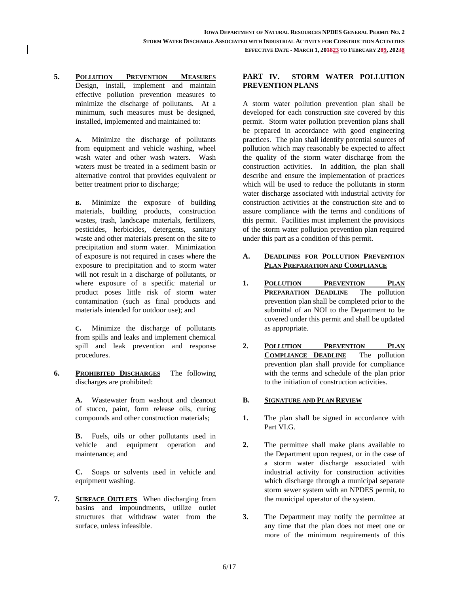**5. POLLUTION PREVENTION MEASURES** Design, install, implement and maintain effective pollution prevention measures to minimize the discharge of pollutants. At a minimum, such measures must be designed, installed, implemented and maintained to:

> **A.** Minimize the discharge of pollutants from equipment and vehicle washing, wheel wash water and other wash waters. Wash waters must be treated in a sediment basin or alternative control that provides equivalent or better treatment prior to discharge;

> **B.** Minimize the exposure of building materials, building products, construction wastes, trash, landscape materials, fertilizers, pesticides, herbicides, detergents, sanitary waste and other materials present on the site to precipitation and storm water. Minimization of exposure is not required in cases where the exposure to precipitation and to storm water will not result in a discharge of pollutants, or where exposure of a specific material or product poses little risk of storm water contamination (such as final products and materials intended for outdoor use); and

**C.** Minimize the discharge of pollutants from spills and leaks and implement chemical spill and leak prevention and response procedures.

**6. PROHIBITED DISCHARGES** The following discharges are prohibited:

> **A.** Wastewater from washout and cleanout of stucco, paint, form release oils, curing compounds and other construction materials;

> **B.** Fuels, oils or other pollutants used in vehicle and equipment operation and maintenance; and

> **C.** Soaps or solvents used in vehicle and equipment washing.

**7. SURFACE OUTLETS** When discharging from basins and impoundments, utilize outlet structures that withdraw water from the surface, unless infeasible.

## **PART IV. STORM WATER POLLUTION PREVENTION PLANS**

A storm water pollution prevention plan shall be developed for each construction site covered by this permit. Storm water pollution prevention plans shall be prepared in accordance with good engineering practices. The plan shall identify potential sources of pollution which may reasonably be expected to affect the quality of the storm water discharge from the construction activities. In addition, the plan shall describe and ensure the implementation of practices which will be used to reduce the pollutants in storm water discharge associated with industrial activity for construction activities at the construction site and to assure compliance with the terms and conditions of this permit. Facilities must implement the provisions of the storm water pollution prevention plan required under this part as a condition of this permit.

## **A. DEADLINES FOR POLLUTION PREVENTION PLAN PREPARATION AND COMPLIANCE**

- **1. POLLUTION PREVENTION PLAN PREPARATION DEADLINE** The pollution prevention plan shall be completed prior to the submittal of an NOI to the Department to be covered under this permit and shall be updated as appropriate.
- **2. POLLUTION PREVENTION PLAN COMPLIANCE DEADLINE** The pollution prevention plan shall provide for compliance with the terms and schedule of the plan prior to the initiation of construction activities.

#### **B. SIGNATURE AND PLAN REVIEW**

- **1.** The plan shall be signed in accordance with Part VI.G.
- **2.** The permittee shall make plans available to the Department upon request, or in the case of a storm water discharge associated with industrial activity for construction activities which discharge through a municipal separate storm sewer system with an NPDES permit, to the municipal operator of the system.
- **3.** The Department may notify the permittee at any time that the plan does not meet one or more of the minimum requirements of this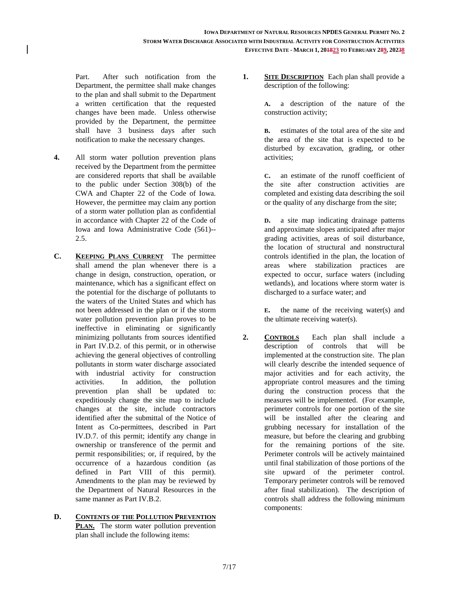Part. After such notification from the Department, the permittee shall make changes to the plan and shall submit to the Department a written certification that the requested changes have been made. Unless otherwise provided by the Department, the permittee shall have 3 business days after such notification to make the necessary changes.

- **4.** All storm water pollution prevention plans received by the Department from the permittee are considered reports that shall be available to the public under Section 308(b) of the CWA and Chapter 22 of the Code of Iowa. However, the permittee may claim any portion of a storm water pollution plan as confidential in accordance with Chapter 22 of the Code of Iowa and Iowa Administrative Code (561)-- 2.5.
- **C. KEEPING PLANS CURRENT** The permittee shall amend the plan whenever there is a change in design, construction, operation, or maintenance, which has a significant effect on the potential for the discharge of pollutants to the waters of the United States and which has not been addressed in the plan or if the storm water pollution prevention plan proves to be ineffective in eliminating or significantly minimizing pollutants from sources identified in Part IV.D.2. of this permit, or in otherwise achieving the general objectives of controlling pollutants in storm water discharge associated with industrial activity for construction activities. In addition, the pollution prevention plan shall be updated to: expeditiously change the site map to include changes at the site, include contractors identified after the submittal of the Notice of Intent as Co-permittees, described in Part IV.D.7. of this permit; identify any change in ownership or transference of the permit and permit responsibilities; or, if required, by the occurrence of a hazardous condition (as defined in Part VIII of this permit). Amendments to the plan may be reviewed by the Department of Natural Resources in the same manner as Part IV.B.2.
- **D. CONTENTS OF THE POLLUTION PREVENTION PLAN.** The storm water pollution prevention plan shall include the following items:

**1. SITE DESCRIPTION** Each plan shall provide a description of the following:

> **A.** a description of the nature of the construction activity;

> **B.** estimates of the total area of the site and the area of the site that is expected to be disturbed by excavation, grading, or other activities;

> **C.** an estimate of the runoff coefficient of the site after construction activities are completed and existing data describing the soil or the quality of any discharge from the site;

> **D.** a site map indicating drainage patterns and approximate slopes anticipated after major grading activities, areas of soil disturbance, the location of structural and nonstructural controls identified in the plan, the location of areas where stabilization practices are expected to occur, surface waters (including wetlands), and locations where storm water is discharged to a surface water; and

> **E.** the name of the receiving water(s) and the ultimate receiving water(s).

**2. CONTROLS** Each plan shall include a description of controls that will be implemented at the construction site. The plan will clearly describe the intended sequence of major activities and for each activity, the appropriate control measures and the timing during the construction process that the measures will be implemented. (For example, perimeter controls for one portion of the site will be installed after the clearing and grubbing necessary for installation of the measure, but before the clearing and grubbing for the remaining portions of the site. Perimeter controls will be actively maintained until final stabilization of those portions of the site upward of the perimeter control. Temporary perimeter controls will be removed after final stabilization). The description of controls shall address the following minimum components: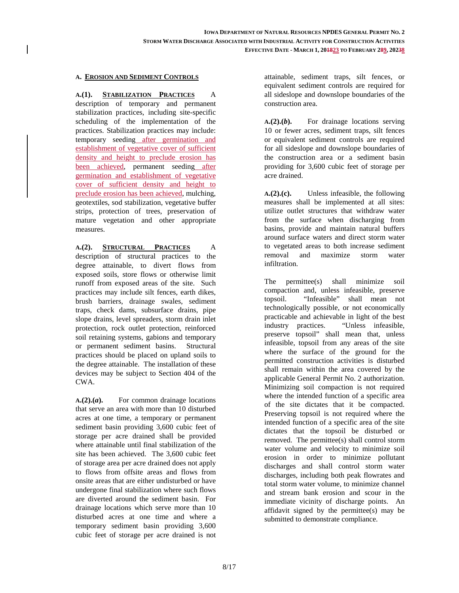#### **A. EROSION AND SEDIMENT CONTROLS**

**A.(1). STABILIZATION PRACTICES** A description of temporary and permanent stabilization practices, including site-specific scheduling of the implementation of the practices. Stabilization practices may include: temporary seeding after germination and establishment of vegetative cover of sufficient density and height to preclude erosion has been achieved, permanent seeding after germination and establishment of vegetative cover of sufficient density and height to preclude erosion has been achieved, mulching, geotextiles, sod stabilization, vegetative buffer strips, protection of trees, preservation of mature vegetation and other appropriate measures.

**A.(2). STRUCTURAL PRACTICES** A description of structural practices to the degree attainable, to divert flows from exposed soils, store flows or otherwise limit runoff from exposed areas of the site. Such practices may include silt fences, earth dikes, brush barriers, drainage swales, sediment traps, check dams, subsurface drains, pipe slope drains, level spreaders, storm drain inlet protection, rock outlet protection, reinforced soil retaining systems, gabions and temporary or permanent sediment basins. Structural practices should be placed on upland soils to the degree attainable. The installation of these devices may be subject to Section 404 of the CWA.

**A.(2).(***a***).** For common drainage locations that serve an area with more than 10 disturbed acres at one time, a temporary or permanent sediment basin providing 3,600 cubic feet of storage per acre drained shall be provided where attainable until final stabilization of the site has been achieved. The 3,600 cubic feet of storage area per acre drained does not apply to flows from offsite areas and flows from onsite areas that are either undisturbed or have undergone final stabilization where such flows are diverted around the sediment basin. For drainage locations which serve more than 10 disturbed acres at one time and where a temporary sediment basin providing 3,600 cubic feet of storage per acre drained is not

attainable, sediment traps, silt fences, or equivalent sediment controls are required for all sideslope and downslope boundaries of the construction area.

**A.(2).(***b***).** For drainage locations serving 10 or fewer acres, sediment traps, silt fences or equivalent sediment controls are required for all sideslope and downslope boundaries of the construction area or a sediment basin providing for 3,600 cubic feet of storage per acre drained.

**A.(2).(c).** Unless infeasible, the following measures shall be implemented at all sites: utilize outlet structures that withdraw water from the surface when discharging from basins, provide and maintain natural buffers around surface waters and direct storm water to vegetated areas to both increase sediment removal and maximize storm water infiltration.

The permittee(s) shall minimize soil compaction and, unless infeasible, preserve topsoil. "Infeasible" shall mean not technologically possible, or not economically practicable and achievable in light of the best industry practices. "Unless infeasible, preserve topsoil" shall mean that, unless infeasible, topsoil from any areas of the site where the surface of the ground for the permitted construction activities is disturbed shall remain within the area covered by the applicable General Permit No. 2 authorization. Minimizing soil compaction is not required where the intended function of a specific area of the site dictates that it be compacted. Preserving topsoil is not required where the intended function of a specific area of the site dictates that the topsoil be disturbed or removed. The permittee(s) shall control storm water volume and velocity to minimize soil erosion in order to minimize pollutant discharges and shall control storm water discharges, including both peak flowrates and total storm water volume, to minimize channel and stream bank erosion and scour in the immediate vicinity of discharge points. An affidavit signed by the permittee(s) may be submitted to demonstrate compliance.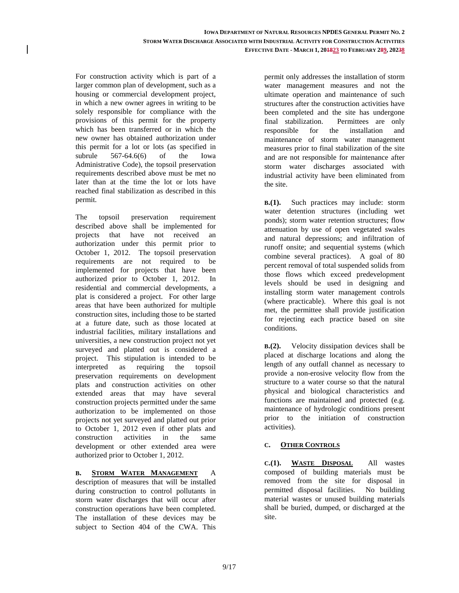For construction activity which is part of a larger common plan of development, such as a housing or commercial development project, in which a new owner agrees in writing to be solely responsible for compliance with the provisions of this permit for the property which has been transferred or in which the new owner has obtained authorization under this permit for a lot or lots (as specified in subrule 567-64.6(6) of the Iowa Administrative Code), the topsoil preservation requirements described above must be met no later than at the time the lot or lots have reached final stabilization as described in this permit.

The topsoil preservation requirement described above shall be implemented for projects that have not received an authorization under this permit prior to October 1, 2012. The topsoil preservation requirements are not required to be implemented for projects that have been authorized prior to October 1, 2012. In residential and commercial developments, a plat is considered a project. For other large areas that have been authorized for multiple construction sites, including those to be started at a future date, such as those located at industrial facilities, military installations and universities, a new construction project not yet surveyed and platted out is considered a project. This stipulation is intended to be interpreted as requiring the topsoil preservation requirements on development plats and construction activities on other extended areas that may have several construction projects permitted under the same authorization to be implemented on those projects not yet surveyed and platted out prior to October 1, 2012 even if other plats and construction activities in the same development or other extended area were authorized prior to October 1, 2012.

**B. STORM WATER MANAGEMENT** A description of measures that will be installed during construction to control pollutants in storm water discharges that will occur after construction operations have been completed. The installation of these devices may be subject to Section 404 of the CWA. This permit only addresses the installation of storm water management measures and not the ultimate operation and maintenance of such structures after the construction activities have been completed and the site has undergone final stabilization. Permittees are only responsible for the installation and maintenance of storm water management measures prior to final stabilization of the site and are not responsible for maintenance after storm water discharges associated with industrial activity have been eliminated from the site.

**B.(1).** Such practices may include: storm water detention structures (including wet ponds); storm water retention structures; flow attenuation by use of open vegetated swales and natural depressions; and infiltration of runoff onsite; and sequential systems (which combine several practices). A goal of 80 percent removal of total suspended solids from those flows which exceed predevelopment levels should be used in designing and installing storm water management controls (where practicable). Where this goal is not met, the permittee shall provide justification for rejecting each practice based on site conditions.

**B.(2).** Velocity dissipation devices shall be placed at discharge locations and along the length of any outfall channel as necessary to provide a non-erosive velocity flow from the structure to a water course so that the natural physical and biological characteristics and functions are maintained and protected (e.g. maintenance of hydrologic conditions present prior to the initiation of construction activities).

## **C. OTHER CONTROLS**

**C.(1). WASTE DISPOSAL** All wastes composed of building materials must be removed from the site for disposal in permitted disposal facilities. No building material wastes or unused building materials shall be buried, dumped, or discharged at the site.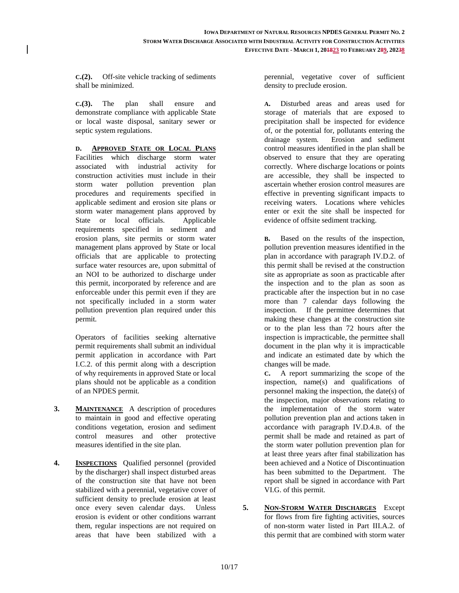**C.(2).** Off-site vehicle tracking of sediments shall be minimized.

**C.(3).** The plan shall ensure and demonstrate compliance with applicable State or local waste disposal, sanitary sewer or septic system regulations.

**D. APPROVED STATE OR LOCAL PLANS** Facilities which discharge storm water associated with industrial activity for construction activities must include in their storm water pollution prevention plan procedures and requirements specified in applicable sediment and erosion site plans or storm water management plans approved by State or local officials. Applicable requirements specified in sediment and erosion plans, site permits or storm water management plans approved by State or local officials that are applicable to protecting surface water resources are, upon submittal of an NOI to be authorized to discharge under this permit, incorporated by reference and are enforceable under this permit even if they are not specifically included in a storm water pollution prevention plan required under this permit.

Operators of facilities seeking alternative permit requirements shall submit an individual permit application in accordance with Part I.C.2. of this permit along with a description of why requirements in approved State or local plans should not be applicable as a condition of an NPDES permit.

- **3. MAINTENANCE** A description of procedures to maintain in good and effective operating conditions vegetation, erosion and sediment control measures and other protective measures identified in the site plan.
- **4. INSPECTIONS** Qualified personnel (provided by the discharger) shall inspect disturbed areas of the construction site that have not been stabilized with a perennial, vegetative cover of sufficient density to preclude erosion at least once every seven calendar days. Unless erosion is evident or other conditions warrant them, regular inspections are not required on areas that have been stabilized with a

perennial, vegetative cover of sufficient density to preclude erosion.

**A.** Disturbed areas and areas used for storage of materials that are exposed to precipitation shall be inspected for evidence of, or the potential for, pollutants entering the drainage system. Erosion and sediment control measures identified in the plan shall be observed to ensure that they are operating correctly. Where discharge locations or points are accessible, they shall be inspected to ascertain whether erosion control measures are effective in preventing significant impacts to receiving waters. Locations where vehicles enter or exit the site shall be inspected for evidence of offsite sediment tracking.

**B.** Based on the results of the inspection, pollution prevention measures identified in the plan in accordance with paragraph IV.D.2. of this permit shall be revised at the construction site as appropriate as soon as practicable after the inspection and to the plan as soon as practicable after the inspection but in no case more than 7 calendar days following the inspection. If the permittee determines that making these changes at the construction site or to the plan less than 72 hours after the inspection is impracticable, the permittee shall document in the plan why it is impracticable and indicate an estimated date by which the changes will be made.

**C.** A report summarizing the scope of the inspection, name(s) and qualifications of personnel making the inspection, the date(s) of the inspection, major observations relating to the implementation of the storm water pollution prevention plan and actions taken in accordance with paragraph IV.D.4.B. of the permit shall be made and retained as part of the storm water pollution prevention plan for at least three years after final stabilization has been achieved and a Notice of Discontinuation has been submitted to the Department. The report shall be signed in accordance with Part VI.G. of this permit.

**5. NON-STORM WATER DISCHARGES** Except for flows from fire fighting activities, sources of non-storm water listed in Part III.A.2. of this permit that are combined with storm water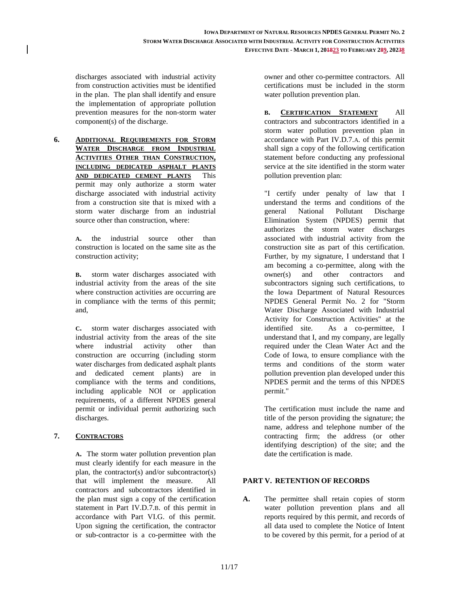discharges associated with industrial activity from construction activities must be identified in the plan. The plan shall identify and ensure the implementation of appropriate pollution prevention measures for the non-storm water component(s) of the discharge.

**6. ADDITIONAL REQUIREMENTS FOR STORM WATER DISCHARGE FROM INDUSTRIAL ACTIVITIES OTHER THAN CONSTRUCTION, INCLUDING DEDICATED ASPHALT PLANTS AND DEDICATED CEMENT PLANTS** This permit may only authorize a storm water discharge associated with industrial activity from a construction site that is mixed with a storm water discharge from an industrial source other than construction, where:

> **A.** the industrial source other than construction is located on the same site as the construction activity;

> **B.** storm water discharges associated with industrial activity from the areas of the site where construction activities are occurring are in compliance with the terms of this permit; and,

> **C.** storm water discharges associated with industrial activity from the areas of the site where industrial activity other than construction are occurring (including storm water discharges from dedicated asphalt plants and dedicated cement plants) are in compliance with the terms and conditions, including applicable NOI or application requirements, of a different NPDES general permit or individual permit authorizing such discharges.

## **7. CONTRACTORS**

**A.** The storm water pollution prevention plan must clearly identify for each measure in the plan, the contractor(s) and/or subcontractor(s) that will implement the measure. All contractors and subcontractors identified in the plan must sign a copy of the certification statement in Part IV.D.7.B. of this permit in accordance with Part VI.G. of this permit. Upon signing the certification, the contractor or sub-contractor is a co-permittee with the owner and other co-permittee contractors. All certifications must be included in the storm water pollution prevention plan.

**B. CERTIFICATION STATEMENT** All contractors and subcontractors identified in a storm water pollution prevention plan in accordance with Part IV.D.7.A. of this permit shall sign a copy of the following certification statement before conducting any professional service at the site identified in the storm water pollution prevention plan:

"I certify under penalty of law that I understand the terms and conditions of the general National Pollutant Discharge Elimination System (NPDES) permit that authorizes the storm water discharges associated with industrial activity from the construction site as part of this certification. Further, by my signature, I understand that I am becoming a co-permittee, along with the owner(s) and other contractors and subcontractors signing such certifications, to the Iowa Department of Natural Resources NPDES General Permit No. 2 for "Storm Water Discharge Associated with Industrial Activity for Construction Activities" at the identified site. As a co-permittee, I understand that I, and my company, are legally required under the Clean Water Act and the Code of Iowa, to ensure compliance with the terms and conditions of the storm water pollution prevention plan developed under this NPDES permit and the terms of this NPDES permit."

The certification must include the name and title of the person providing the signature; the name, address and telephone number of the contracting firm; the address (or other identifying description) of the site; and the date the certification is made.

## **PART V. RETENTION OF RECORDS**

**A.** The permittee shall retain copies of storm water pollution prevention plans and all reports required by this permit, and records of all data used to complete the Notice of Intent to be covered by this permit, for a period of at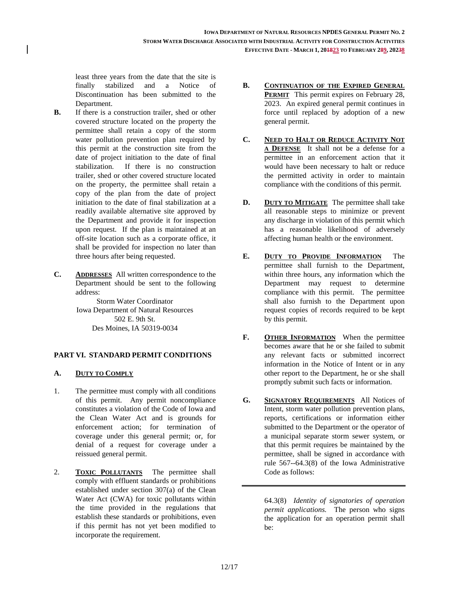least three years from the date that the site is finally stabilized and a Notice of Discontinuation has been submitted to the Department.

- **B.** If there is a construction trailer, shed or other covered structure located on the property the permittee shall retain a copy of the storm water pollution prevention plan required by this permit at the construction site from the date of project initiation to the date of final stabilization. If there is no construction trailer, shed or other covered structure located on the property, the permittee shall retain a copy of the plan from the date of project initiation to the date of final stabilization at a readily available alternative site approved by the Department and provide it for inspection upon request. If the plan is maintained at an off-site location such as a corporate office, it shall be provided for inspection no later than three hours after being requested.
- **C. ADDRESSES** All written correspondence to the Department should be sent to the following address:

Storm Water Coordinator Iowa Department of Natural Resources 502 E. 9th St. Des Moines, IA 50319-0034

#### **PART VI. STANDARD PERMIT CONDITIONS**

#### **A. DUTY TO COMPLY**

- 1. The permittee must comply with all conditions of this permit. Any permit noncompliance constitutes a violation of the Code of Iowa and the Clean Water Act and is grounds for enforcement action; for termination of coverage under this general permit; or, for denial of a request for coverage under a reissued general permit.
- 2. **TOXIC POLLUTANTS** The permittee shall comply with effluent standards or prohibitions established under section 307(a) of the Clean Water Act (CWA) for toxic pollutants within the time provided in the regulations that establish these standards or prohibitions, even if this permit has not yet been modified to incorporate the requirement.
- **B. CONTINUATION OF THE EXPIRED GENERAL PERMIT** This permit expires on February 28, 2023. An expired general permit continues in force until replaced by adoption of a new general permit.
- **C. NEED TO HALT OR REDUCE ACTIVITY NOT A DEFENSE** It shall not be a defense for a permittee in an enforcement action that it would have been necessary to halt or reduce the permitted activity in order to maintain compliance with the conditions of this permit.
- **D. DUTY TO MITIGATE** The permittee shall take all reasonable steps to minimize or prevent any discharge in violation of this permit which has a reasonable likelihood of adversely affecting human health or the environment.
- **E. DUTY TO PROVIDE INFORMATION** The permittee shall furnish to the Department, within three hours, any information which the Department may request to determine compliance with this permit. The permittee shall also furnish to the Department upon request copies of records required to be kept by this permit.
- F. **OTHER INFORMATION** When the permittee becomes aware that he or she failed to submit any relevant facts or submitted incorrect information in the Notice of Intent or in any other report to the Department, he or she shall promptly submit such facts or information.
- **G. SIGNATORY REQUIREMENTS** All Notices of Intent, storm water pollution prevention plans, reports, certifications or information either submitted to the Department or the operator of a municipal separate storm sewer system, or that this permit requires be maintained by the permittee, shall be signed in accordance with rule 567--64.3(8) of the Iowa Administrative Code as follows:

64.3(8) *Identity of signatories of operation permit applications.* The person who signs the application for an operation permit shall be: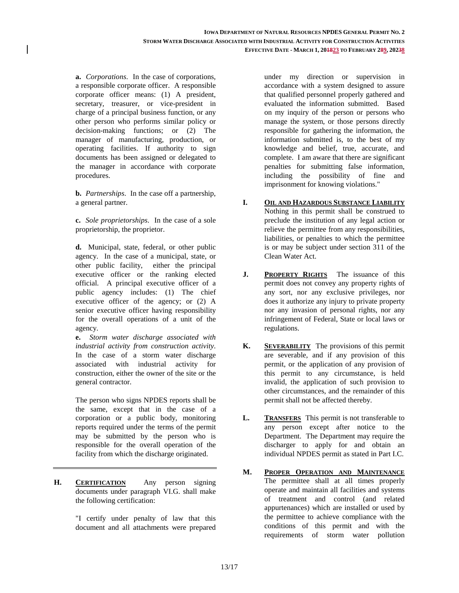**a.** *Corporations*. In the case of corporations, a responsible corporate officer. A responsible corporate officer means: (1) A president, secretary, treasurer, or vice-president in charge of a principal business function, or any other person who performs similar policy or decision-making functions; or (2) The manager of manufacturing, production, or operating facilities. If authority to sign documents has been assigned or delegated to the manager in accordance with corporate procedures.

**b.** *Partnerships*. In the case off a partnership, a general partner.

**c.** *Sole proprietorships*. In the case of a sole proprietorship, the proprietor.

**d.** Municipal, state, federal, or other public agency. In the case of a municipal, state, or other public facility, either the principal executive officer or the ranking elected official. A principal executive officer of a public agency includes: (1) The chief executive officer of the agency; or (2) A senior executive officer having responsibility for the overall operations of a unit of the agency.

**e.** *Storm water discharge associated with industrial activity from construction activity*. In the case of a storm water discharge associated with industrial activity for construction, either the owner of the site or the general contractor.

The person who signs NPDES reports shall be the same, except that in the case of a corporation or a public body, monitoring reports required under the terms of the permit may be submitted by the person who is responsible for the overall operation of the facility from which the discharge originated.

**H. CERTIFICATION** Any person signing documents under paragraph VI.G. shall make the following certification:

> "I certify under penalty of law that this document and all attachments were prepared

under my direction or supervision in accordance with a system designed to assure that qualified personnel properly gathered and evaluated the information submitted. Based on my inquiry of the person or persons who manage the system, or those persons directly responsible for gathering the information, the information submitted is, to the best of my knowledge and belief, true, accurate, and complete. I am aware that there are significant penalties for submitting false information, including the possibility of fine and imprisonment for knowing violations."

- **I. OIL AND HAZARDOUS SUBSTANCE LIABILITY** Nothing in this permit shall be construed to preclude the institution of any legal action or relieve the permittee from any responsibilities, liabilities, or penalties to which the permittee is or may be subject under section 311 of the Clean Water Act.
- **J. PROPERTY RIGHTS** The issuance of this permit does not convey any property rights of any sort, nor any exclusive privileges, nor does it authorize any injury to private property nor any invasion of personal rights, nor any infringement of Federal, State or local laws or regulations.
- **K. SEVERABILITY** The provisions of this permit are severable, and if any provision of this permit, or the application of any provision of this permit to any circumstance, is held invalid, the application of such provision to other circumstances, and the remainder of this permit shall not be affected thereby.
- **L. TRANSFERS** This permit is not transferable to any person except after notice to the Department. The Department may require the discharger to apply for and obtain an individual NPDES permit as stated in Part I.C.
- **M. PROPER OPERATION AND MAINTENANCE** The permittee shall at all times properly operate and maintain all facilities and systems of treatment and control (and related appurtenances) which are installed or used by the permittee to achieve compliance with the conditions of this permit and with the requirements of storm water pollution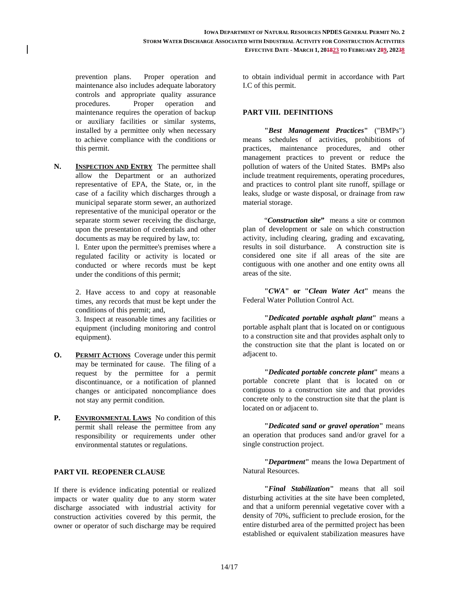prevention plans. Proper operation and maintenance also includes adequate laboratory controls and appropriate quality assurance procedures. Proper operation and maintenance requires the operation of backup or auxiliary facilities or similar systems, installed by a permittee only when necessary to achieve compliance with the conditions or this permit.

**N. INSPECTION AND ENTRY** The permittee shall allow the Department or an authorized representative of EPA, the State, or, in the case of a facility which discharges through a municipal separate storm sewer, an authorized representative of the municipal operator or the separate storm sewer receiving the discharge, upon the presentation of credentials and other documents as may be required by law, to:

> l. Enter upon the permittee's premises where a regulated facility or activity is located or conducted or where records must be kept under the conditions of this permit;

> 2. Have access to and copy at reasonable times, any records that must be kept under the conditions of this permit; and,

> 3. Inspect at reasonable times any facilities or equipment (including monitoring and control equipment).

- **O. PERMIT ACTIONS** Coverage under this permit may be terminated for cause. The filing of a request by the permittee for a permit discontinuance, or a notification of planned changes or anticipated noncompliance does not stay any permit condition.
- **P. ENVIRONMENTAL LAWS** No condition of this permit shall release the permittee from any responsibility or requirements under other environmental statutes or regulations.

#### **PART VII. REOPENER CLAUSE**

If there is evidence indicating potential or realized impacts or water quality due to any storm water discharge associated with industrial activity for construction activities covered by this permit, the owner or operator of such discharge may be required

to obtain individual permit in accordance with Part I.C of this permit.

#### **PART VIII. DEFINITIONS**

**"***Best Management Practices***"** ("BMPs") means schedules of activities, prohibitions of practices, maintenance procedures, and other management practices to prevent or reduce the pollution of waters of the United States. BMPs also include treatment requirements, operating procedures, and practices to control plant site runoff, spillage or leaks, sludge or waste disposal, or drainage from raw material storage.

"*Construction site***"** means a site or common plan of development or sale on which construction activity, including clearing, grading and excavating, results in soil disturbance. A construction site is considered one site if all areas of the site are contiguous with one another and one entity owns all areas of the site.

**"***CWA***" or "***Clean Water Act***"** means the Federal Water Pollution Control Act.

 **"***Dedicated portable asphalt plant***"** means a portable asphalt plant that is located on or contiguous to a construction site and that provides asphalt only to the construction site that the plant is located on or adjacent to.

**"***Dedicated portable concrete plant***"** means a portable concrete plant that is located on or contiguous to a construction site and that provides concrete only to the construction site that the plant is located on or adjacent to.

 **"***Dedicated sand or gravel operation***"** means an operation that produces sand and/or gravel for a single construction project.

**"***Department***"** means the Iowa Department of Natural Resources.

**"***Final Stabilization***"** means that all soil disturbing activities at the site have been completed, and that a uniform perennial vegetative cover with a density of 70%, sufficient to preclude erosion, for the entire disturbed area of the permitted project has been established or equivalent stabilization measures have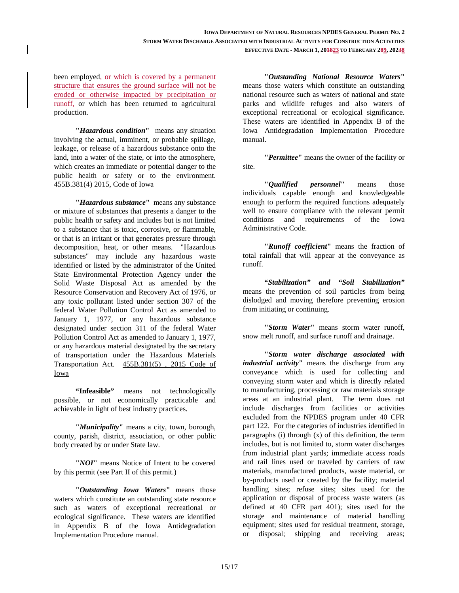been employed, or which is covered by a permanent structure that ensures the ground surface will not be eroded or otherwise impacted by precipitation or runoff, or which has been returned to agricultural production.

**"***Hazardous condition***"** means any situation involving the actual, imminent, or probable spillage, leakage, or release of a hazardous substance onto the land, into a water of the state, or into the atmosphere, which creates an immediate or potential danger to the public health or safety or to the environment. 455B.381(4) 2015, Code of Iowa

 **"***Hazardous substance***"** means any substance or mixture of substances that presents a danger to the public health or safety and includes but is not limited to a substance that is toxic, corrosive, or flammable, or that is an irritant or that generates pressure through decomposition, heat, or other means. "Hazardous substances" may include any hazardous waste identified or listed by the administrator of the United State Environmental Protection Agency under the Solid Waste Disposal Act as amended by the Resource Conservation and Recovery Act of 1976, or any toxic pollutant listed under section 307 of the federal Water Pollution Control Act as amended to January 1, 1977, or any hazardous substance designated under section 311 of the federal Water Pollution Control Act as amended to January 1, 1977, or any hazardous material designated by the secretary of transportation under the Hazardous Materials Transportation Act. 455B.381(5) , 2015 Code of Iowa

**"Infeasible"** means not technologically possible, or not economically practicable and achievable in light of best industry practices.

**"***Municipality***"** means a city, town, borough, county, parish, district, association, or other public body created by or under State law.

**"***NOI***"** means Notice of Intent to be covered by this permit (see Part II of this permit.)

 **"***Outstanding Iowa Waters***"** means those waters which constitute an outstanding state resource such as waters of exceptional recreational or ecological significance. These waters are identified in Appendix B of the Iowa Antidegradation Implementation Procedure manual.

 **"***Outstanding National Resource Waters***"** means those waters which constitute an outstanding national resource such as waters of national and state parks and wildlife refuges and also waters of exceptional recreational or ecological significance. These waters are identified in Appendix B of the Iowa Antidegradation Implementation Procedure manual.

 **"***Permittee***"** means the owner of the facility or site.

 **"***Qualified personnel***"** means those individuals capable enough and knowledgeable enough to perform the required functions adequately well to ensure compliance with the relevant permit conditions and requirements of the Iowa Administrative Code.

**"***Runoff coefficient***"** means the fraction of total rainfall that will appear at the conveyance as runoff.

 **"***Stabilization" and "Soil Stabilization"* means the prevention of soil particles from being dislodged and moving therefore preventing erosion from initiating or continuing.

**"***Storm Water***"** means storm water runoff, snow melt runoff, and surface runoff and drainage.

**"***Storm water discharge associated with industrial activity***"** means the discharge from any conveyance which is used for collecting and conveying storm water and which is directly related to manufacturing, processing or raw materials storage areas at an industrial plant. The term does not include discharges from facilities or activities excluded from the NPDES program under 40 CFR part 122. For the categories of industries identified in paragraphs (i) through (x) of this definition, the term includes, but is not limited to, storm water discharges from industrial plant yards; immediate access roads and rail lines used or traveled by carriers of raw materials, manufactured products, waste material, or by-products used or created by the facility; material handling sites; refuse sites; sites used for the application or disposal of process waste waters (as defined at 40 CFR part 401); sites used for the storage and maintenance of material handling equipment; sites used for residual treatment, storage, or disposal; shipping and receiving areas;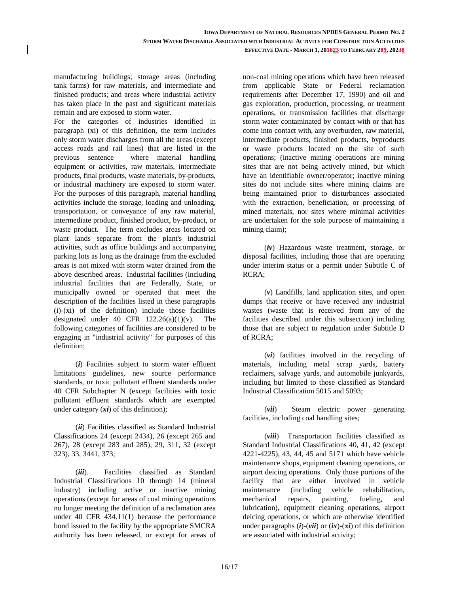manufacturing buildings; storage areas (including tank farms) for raw materials, and intermediate and finished products; and areas where industrial activity has taken place in the past and significant materials remain and are exposed to storm water.

For the categories of industries identified in paragraph (xi) of this definition, the term includes only storm water discharges from all the areas (except access roads and rail lines) that are listed in the previous sentence where material handling equipment or activities, raw materials, intermediate products, final products, waste materials, by-products, or industrial machinery are exposed to storm water. For the purposes of this paragraph, material handling activities include the storage, loading and unloading, transportation, or conveyance of any raw material, intermediate product, finished product, by-product, or waste product. The term excludes areas located on plant lands separate from the plant's industrial activities, such as office buildings and accompanying parking lots as long as the drainage from the excluded areas is not mixed with storm water drained from the above described areas. Industrial facilities (including industrial facilities that are Federally, State, or municipally owned or operated that meet the description of the facilities listed in these paragraphs (i)-(xi) of the definition) include those facilities designated under 40 CFR  $122.26(a)(1)(v)$ . The following categories of facilities are considered to be engaging in "industrial activity" for purposes of this definition;

 (*i*) Facilities subject to storm water effluent limitations guidelines, new source performance standards, or toxic pollutant effluent standards under 40 CFR Subchapter N (except facilities with toxic pollutant effluent standards which are exempted under category (*xi*) of this definition);

 (*ii*) Facilities classified as Standard Industrial Classifications 24 (except 2434), 26 (except 265 and 267), 28 (except 283 and 285), 29, 311, 32 (except 323), 33, 3441, 373;

 (*iii*). Facilities classified as Standard Industrial Classifications 10 through 14 (mineral industry) including active or inactive mining operations (except for areas of coal mining operations no longer meeting the definition of a reclamation area under 40 CFR 434.11(1) because the performance bond issued to the facility by the appropriate SMCRA authority has been released, or except for areas of

non-coal mining operations which have been released from applicable State or Federal reclamation requirements after December 17, 1990) and oil and gas exploration, production, processing, or treatment operations, or transmission facilities that discharge storm water contaminated by contact with or that has come into contact with, any overburden, raw material, intermediate products, finished products, byproducts or waste products located on the site of such operations; (inactive mining operations are mining sites that are not being actively mined, but which have an identifiable owner/operator; inactive mining sites do not include sites where mining claims are being maintained prior to disturbances associated with the extraction, beneficiation, or processing of mined materials, nor sites where minimal activities are undertaken for the sole purpose of maintaining a mining claim);

 (*iv*) Hazardous waste treatment, storage, or disposal facilities, including those that are operating under interim status or a permit under Subtitle C of RCRA;

 (*v*) Landfills, land application sites, and open dumps that receive or have received any industrial wastes (waste that is received from any of the facilities described under this subsection) including those that are subject to regulation under Subtitle D of RCRA;

 (*vi*) facilities involved in the recycling of materials, including metal scrap yards, battery reclaimers, salvage yards, and automobile junkyards, including but limited to those classified as Standard Industrial Classification 5015 and 5093;

 (*vii*) Steam electric power generating facilities, including coal handling sites;

 (*viii*) Transportation facilities classified as Standard Industrial Classifications 40, 41, 42 (except 4221-4225), 43, 44, 45 and 5171 which have vehicle maintenance shops, equipment cleaning operations, or airport deicing operations. Only those portions of the facility that are either involved in vehicle maintenance (including vehicle rehabilitation, mechanical repairs, painting, fueling, and lubrication), equipment cleaning operations, airport deicing operations, or which are otherwise identified under paragraphs  $(i)$ - $(vii)$  or  $(ix)$ - $(xi)$  of this definition are associated with industrial activity;